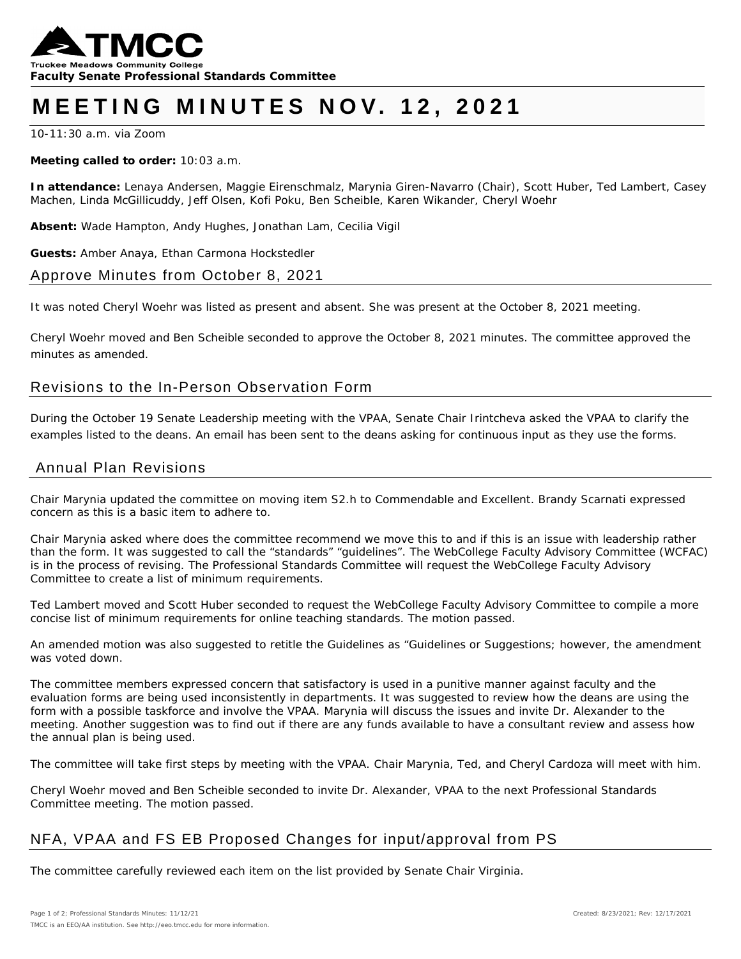

# **MEETING MINUTES NOV. 1 2 , 202 1**

10-11:30 a.m. via Zoom

#### **Meeting called to order:** 10:03 a.m.

**In attendance:** Lenaya Andersen, Maggie Eirenschmalz, Marynia Giren-Navarro (Chair), Scott Huber, Ted Lambert, Casey Machen, Linda McGillicuddy, Jeff Olsen, Kofi Poku, Ben Scheible, Karen Wikander, Cheryl Woehr

**Absent:** Wade Hampton, Andy Hughes, Jonathan Lam, Cecilia Vigil

**Guests:** Amber Anaya, Ethan Carmona Hockstedler

## Approve Minutes from October 8, 2021

It was noted Cheryl Woehr was listed as present and absent. She was present at the October 8, 2021 meeting.

*Cheryl Woehr moved and Ben Scheible seconded to approve the October 8, 2021 minutes. The committee approved the minutes as amended.* 

## Revisions to the In-Person Observation Form

During the October 19 Senate Leadership meeting with the VPAA, Senate Chair Irintcheva asked the VPAA to clarify the examples listed to the deans. An email has been sent to the deans asking for continuous input as they use the forms.

#### Annual Plan Revisions

Chair Marynia updated the committee on moving item S2.h to Commendable and Excellent. Brandy Scarnati expressed concern as this is a basic item to adhere to.

Chair Marynia asked where does the committee recommend we move this to and if this is an issue with leadership rather than the form. It was suggested to call the "standards" "guidelines". The WebCollege Faculty Advisory Committee (WCFAC) is in the process of revising. The Professional Standards Committee will request the WebCollege Faculty Advisory Committee to create a list of minimum requirements.

Ted Lambert moved and Scott Huber seconded to request the WebCollege Faculty Advisory Committee to compile a more concise list of minimum requirements for online teaching standards. The motion passed.

An amended motion was also suggested to retitle the Guidelines as "Guidelines or Suggestions; however, the amendment was voted down.

The committee members expressed concern that satisfactory is used in a punitive manner against faculty and the evaluation forms are being used inconsistently in departments. It was suggested to review how the deans are using the form with a possible taskforce and involve the VPAA. Marynia will discuss the issues and invite Dr. Alexander to the meeting. Another suggestion was to find out if there are any funds available to have a consultant review and assess how the annual plan is being used.

The committee will take first steps by meeting with the VPAA. Chair Marynia, Ted, and Cheryl Cardoza will meet with him.

*Cheryl Woehr moved and Ben Scheible seconded to invite Dr. Alexander, VPAA to the next Professional Standards Committee meeting. The motion passed.* 

## NFA, VPAA and FS EB Proposed Changes for input/approval from PS

The committee carefully reviewed each item on the list provided by Senate Chair Virginia.